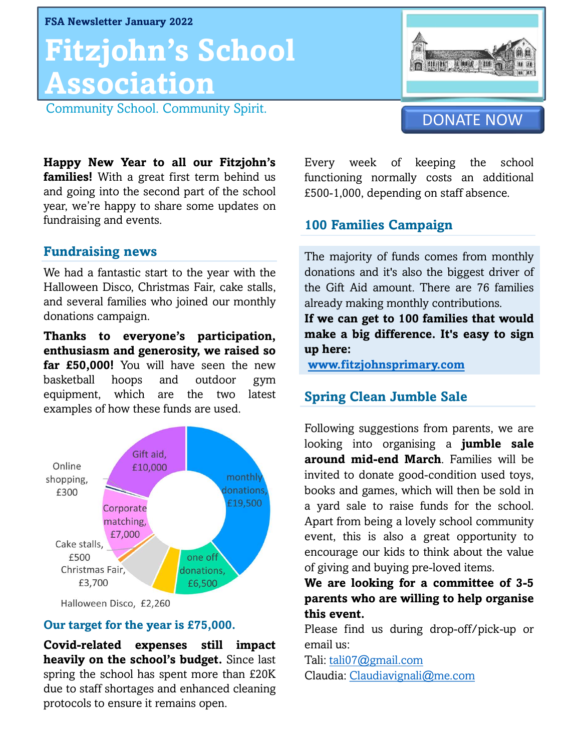FSA Newsletter January 2022

# **HIZJOHN'S SCHOOL<br>
ASSOCIATION**<br>
Community School. Community Spirit.<br>
Happy New Year to all our Fitzjohn's Every wee<br>
families! With a great first term behind us functioning<br>
and going into the second part of the school £5 Fitzjohn's School **Association**<br>Community School. Community Spirit. FSA Newsletter January 2022<br>
Fitzjohn's School.<br>
Association<br>
Community School. Community Spirit.



**Association**<br>
Community School. Community Spirit.<br> **Happy New Year to all our Fitzjohn's** Every week of **families!** With a great first term behind us and going into the second part of the school year, we're happy to share **ASSOCIATION**<br>
Community School. Community Spirit.<br> **Happy New Year to all our Fitzjohn's** Every week of<br> **families!** With a great first term behind us functioning norn<br>
and going into the second part of the school export Community School. Community Spirit.<br> **Happy New Year to all our Fitzjohn's** Every week of **families!** With a great first term behind us functioning normally and going into the second part of the school year, we're happy to Community School. Community Spirit.<br> **Happy New Year to all our Fitzjohn's**<br> **families!** With a great first term behind us<br>
and going into the second part of the school<br>
year, we're happy to share some updates on<br> **fundrai Happy New Year to all our Fitzjohn's**<br>**families!** With a great first term behind us<br>and going into the second part of the school<br>year, we're happy to share some updates on<br>**fundraising and events.**<br>**Fundraising news**<br>We h **Happy New Year to all our Fitzjohn's** Every week of<br> **families!** With a great first term behind us<br>
and going into the second part of the school  $\text{E500-1,000}$ , depending<br>
year, we're happy to share some updates on<br>
fun **Families!** With a great first term behind us functioning norm<br>
and going into the second part of the school<br>
year, we're happy to share some updates on<br>
fundraising and events.<br> **Fundraising news**<br>
The majority of fundrai

and going into the second part of the school<br>
year, we're happy to share some updates on<br>
fundraising and events.<br> **100 Families**<br> **Fundraising news**<br>
We had a fantastic start to the year with the<br>
Halloween Disco, Christm year, we're happy to share some update<br>fundraising and events.<br>**Fundraising news**<br>We had a fantastic start to the year wit<br>Halloween Disco, Christmas Fair, cake :<br>and several families who joined our mo<br>donations campaign.<br> Tundraising and events.<br> **Fundraising news**<br>
The majoure of the vear with the donation<br>
Halloween Disco, Christmas Fair, cake stalls, the Gift<br>
and several families who joined our monthly already r<br>
donations campaign.<br> **T Fundraising news**<br>
We had a fantastic start to the year with the<br>
Halloween Disco, Christmas Fair, cake stalls,<br>
and several families who joined our monthly<br>
donations campaign.<br> **Thanks to everyone's participation,**<br> **Ex** 

Fundraising news<br>
We had a fantastic start to the year with the<br>
Halloween Disco, Christmas Fair, cake stalls, the Gift Aid amour<br>
and several families who joined our monthly<br>
donations and several families who joined our We had a fantastic start to the year with the donations and it's a<br>Halloween Disco, Christmas Fair, cake stalls, the Gift Aid amour<br>and several families who joined our monthly already making more<br>donations campaign. If we Halloween Disco, Christmas Fair, cake stalls, the Gift Aid amou<br>and several families who joined our monthly already making modonations campaign.<br> **Thanks to everyone's participation, make a big differenthusiasm and generos** examples of how these funds are used.<br> **Examples of the examples of how these funds are used.**<br> **Examples of how these funds are used.**<br> **Examples of how these funds are used.**<br> **Examples of how these funds are used.**<br> **Ex** 



Christmas Fair,<br>
E3,700<br>
Halloween Disco, £2,260<br>
Halloween Disco, £2,260<br> **Covid-related expenses still impact**<br> **Covid-related expenses still impact**<br> **Covid-related expenses still impact**<br>
Please find us duri<br>
expenses Christmas Fair,<br>
E3,700<br>
Halloween Disco, £2,260<br> **Our target for the year is £75,000.**<br> **Covid-related expenses still impact** Please find us du<br> **Covid-related expenses still impact** email us:<br> **Spring the school has spen** due to staff shortages and enhanced cleaning Halloween Disco, £2,260<br> **Parents**<br> **Protocols to the year is £75,000.**<br> **Please fi**<br> **Covid-related expenses still impact** email us:<br> **heavily on the school's budget.** Since last Tali: <u>tali0</u><br>
spring the school has spent

Functioning normally costs an additional exponential exponential exponential exponential exponential exponential exponential exponential exponential exponential exponential exponential exponential exponential exponential e **Every week of keeping the school functioning normally costs an additional E500-1,000, depending on staff absence. 100 Families Campaign**<br>
100 Families Campaign<br>
100 Families Campaign<br>
100 Families Campaign<br>
100 Families Campaign<br>
The maiority of funds comes from monthly Every week of keeping the school<br>functioning normally costs an additional<br>£500-1,000, depending on staff absence.<br>**100 Families Campaign**<br>The majority of funds comes from monthly<br>donations and it's also the biggest driver

Every week of keeping the school<br>functioning normally costs an additional<br>£500-1,000, depending on staff absence.<br>**100 Families Campaign**<br>The majority of funds comes from monthly<br>donations and it's also the biggest driver functioning normally costs an additional<br>  $£500-1,000$ , depending on staff absence.<br> **100 Families Campaign**<br>
The majority of funds comes from monthly<br>
donations and it's also the biggest driver of<br>
the Gift Aid amount. T  $\epsilon$ 500-1,000, depending on staff absence.<br> **100 Families Campaign**<br>
The majority of funds comes from monthly<br>
donations and it's also the biggest driver of<br>
the Gift Aid amount. There are 76 families<br>
already making mont **100 Families Campaign**<br>The majority of funds comes from monthly<br>donations and it's also the biggest driver of<br>the Gift Aid amount. There are 76 families<br>already making monthly contributions.<br>**If we can get to 100 families** 100 Families Campaign<br>The majority of funds comes from monthly<br>donations and it's also the biggest driver of<br>the Gift Aid amount. There are 76 families<br>already making monthly contributions.<br>If we can get to 100 families th The majority of funds comes fro<br>donations and it's also the bigge<br>the Gift Aid amount. There are<br>already making monthly contribu<br>**If we can get to 100 families t**<br>**make a big difference. It's ea**<br>**up here:**<br><u>www.fitzjohnsp</u>

the Gift Aid amount. There are 76 families<br>already making monthly contributions.<br>**If we can get to 100 families that would**<br>**make a big difference. It's easy to sign<br>up here:**<br>**www.fitzjohnsprimary.com**<br>**Spring Clean Jumbl** If we can get to 100 families that would<br>make a big difference. It's easy to sign<br>up here:<br><u>www.fitzjohnsprimary.com</u><br>Spring Clean Jumble Sale<br>Following suggestions from parents, we are<br>looking into organising a **jumble sa** 

www.fitzjohnsprimary.com

make a big difference. It's easy to sign<br>up here:<br><u>www.fitzjohnsprimary.com</u><br>Spring Clean Jumble Sale<br>Following suggestions from parents, we are<br>looking into organising a **jumble sale**<br>around mid-end March. Families will b **ure the Contempt Spring Clean Jumble Sale<br>
Spring Clean Jumble Sale<br>
Following suggestions from parents, we are<br>
looking into organising a <b>jumble sale<br>
around mid-end March**. Families will be<br>
invited to donate good-cond **Spring Clean Jumble Sale**<br> **Spring Clean Jumble Sale**<br>
Following suggestions from parents, we are<br>
looking into organising a **jumble sale**<br> **around mid-end March**. Families will be<br>
invited to donate good-condition used t **Spring Clean Jumble Sale**<br>Following suggestions from parents, we are<br>looking into organising a **jumble sale**<br>around mid-end March. Families will be<br>invited to donate good-condition used toys,<br>books and games, which will t **Spring Clean Jumble Sale**<br>Following suggestions from parents, we are<br>looking into organising a **jumble sale**<br>around mid-end March. Families will be<br>invited to donate good-condition used toys,<br>books and games, which will t Following suggestions from parents, we are<br>looking into organising a **jumble sale**<br>**around mid-end March**. Families will be<br>invited to donate good-condition used toys,<br>books and games, which will then be sold in<br>a yard sal Following suggestions from parents, we are<br>looking into organising a **jumble sale**<br>**around mid-end March**. Families will be<br>invited to donate good-condition used toys,<br>books and games, which will then be sold in<br>a yard sal looking into organising a **jumble sale**<br> **around mid-end March**. Families will be<br>
invited to donate good-condition used toys,<br>
books and games, which will then be sold in<br>
a yard sale to raise funds for the school.<br>
Apart around mid-end March. Families will be<br>invited to donate good-condition used toys,<br>books and games, which will then be sold in<br>a yard sale to raise funds for the school.<br>Apart from being a lovely school community<br>event, th invited to donate good-condition used toys,<br>books and games, which will then be sold in<br>a yard sale to raise funds for the school.<br>Apart from being a lovely school community<br>event, this is also a great opportunity to<br>encou books and games, which will then be sold in<br>a yard sale to raise funds for the school.<br>Apart from being a lovely school community<br>event, this is also a great opportunity to<br>encourage our kids to think about the value<br>of gi a yard sale to raise funds for th<br>Apart from being a lovely school c<br>event, this is also a great oppc<br>encourage our kids to think about<br>of giving and buying pre-loved iter<br>**We are looking for a committ<br>parents who are will** Apart from being a lovely school community<br>event, this is also a great opportunity to<br>encourage our kids to think about the value<br>of giving and buying pre-loved items.<br>**We are looking for a committee of 3-5**<br>**parents who a** event, this is also a great oppor<br>encourage our kids to think about<br>of giving and buying pre-loved item<br>**We are looking for a committe<br>parents who are willing to help<br>this event.**<br>Please find us during drop-off/pi<br>email us

Tali: tali07@gmail.com Claudia: Claudiavignali@me.com